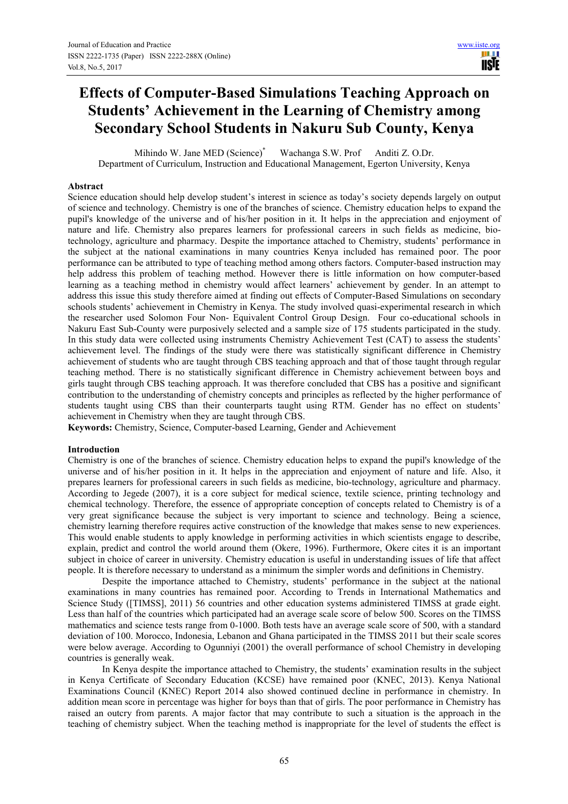# **Effects of Computer-Based Simulations Teaching Approach on Students' Achievement in the Learning of Chemistry among Secondary School Students in Nakuru Sub County, Kenya**

Mihindo W. Jane MED (Science)\* Wachanga S.W. Prof Anditi Z. O.Dr. Department of Curriculum, Instruction and Educational Management, Egerton University, Kenya

## **Abstract**

Science education should help develop student's interest in science as today's society depends largely on output of science and technology. Chemistry is one of the branches of science. Chemistry education helps to expand the pupil's knowledge of the universe and of his/her position in it. It helps in the appreciation and enjoyment of nature and life. Chemistry also prepares learners for professional careers in such fields as medicine, biotechnology, agriculture and pharmacy. Despite the importance attached to Chemistry, students' performance in the subject at the national examinations in many countries Kenya included has remained poor. The poor performance can be attributed to type of teaching method among others factors. Computer-based instruction may help address this problem of teaching method. However there is little information on how computer-based learning as a teaching method in chemistry would affect learners' achievement by gender. In an attempt to address this issue this study therefore aimed at finding out effects of Computer-Based Simulations on secondary schools students' achievement in Chemistry in Kenya. The study involved quasi-experimental research in which the researcher used Solomon Four Non- Equivalent Control Group Design. Four co-educational schools in Nakuru East Sub-County were purposively selected and a sample size of 175 students participated in the study. In this study data were collected using instruments Chemistry Achievement Test (CAT) to assess the students' achievement level. The findings of the study were there was statistically significant difference in Chemistry achievement of students who are taught through CBS teaching approach and that of those taught through regular teaching method. There is no statistically significant difference in Chemistry achievement between boys and girls taught through CBS teaching approach. It was therefore concluded that CBS has a positive and significant contribution to the understanding of chemistry concepts and principles as reflected by the higher performance of students taught using CBS than their counterparts taught using RTM. Gender has no effect on students' achievement in Chemistry when they are taught through CBS.

**Keywords:** Chemistry, Science, Computer-based Learning, Gender and Achievement

#### **Introduction**

Chemistry is one of the branches of science. Chemistry education helps to expand the pupil's knowledge of the universe and of his/her position in it. It helps in the appreciation and enjoyment of nature and life. Also, it prepares learners for professional careers in such fields as medicine, bio-technology, agriculture and pharmacy. According to Jegede (2007), it is a core subject for medical science, textile science, printing technology and chemical technology. Therefore, the essence of appropriate conception of concepts related to Chemistry is of a very great significance because the subject is very important to science and technology. Being a science, chemistry learning therefore requires active construction of the knowledge that makes sense to new experiences. This would enable students to apply knowledge in performing activities in which scientists engage to describe, explain, predict and control the world around them (Okere, 1996). Furthermore, Okere cites it is an important subject in choice of career in university. Chemistry education is useful in understanding issues of life that affect people. It is therefore necessary to understand as a minimum the simpler words and definitions in Chemistry.

Despite the importance attached to Chemistry, students' performance in the subject at the national examinations in many countries has remained poor. According to Trends in International Mathematics and Science Study ([TIMSS], 2011) 56 countries and other education systems administered TIMSS at grade eight. Less than half of the countries which participated had an average scale score of below 500. Scores on the TIMSS mathematics and science tests range from 0-1000. Both tests have an average scale score of 500, with a standard deviation of 100. Morocco, Indonesia, Lebanon and Ghana participated in the TIMSS 2011 but their scale scores were below average. According to Ogunniyi (2001) the overall performance of school Chemistry in developing countries is generally weak.

In Kenya despite the importance attached to Chemistry, the students' examination results in the subject in Kenya Certificate of Secondary Education (KCSE) have remained poor (KNEC, 2013). Kenya National Examinations Council (KNEC) Report 2014 also showed continued decline in performance in chemistry. In addition mean score in percentage was higher for boys than that of girls. The poor performance in Chemistry has raised an outcry from parents. A major factor that may contribute to such a situation is the approach in the teaching of chemistry subject. When the teaching method is inappropriate for the level of students the effect is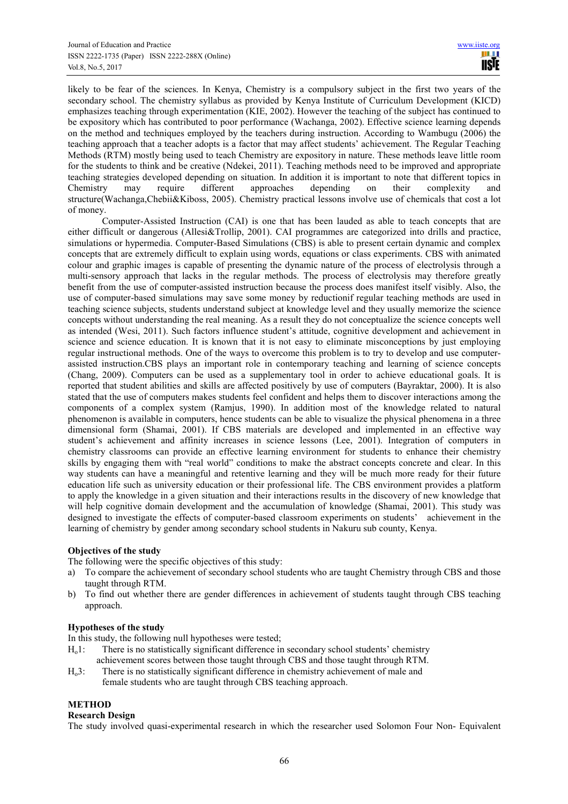likely to be fear of the sciences. In Kenya, Chemistry is a compulsory subject in the first two years of the secondary school. The chemistry syllabus as provided by Kenya Institute of Curriculum Development (KICD) emphasizes teaching through experimentation (KIE, 2002). However the teaching of the subject has continued to be expository which has contributed to poor performance (Wachanga, 2002). Effective science learning depends on the method and techniques employed by the teachers during instruction. According to Wambugu (2006) the teaching approach that a teacher adopts is a factor that may affect students' achievement. The Regular Teaching Methods (RTM) mostly being used to teach Chemistry are expository in nature. These methods leave little room for the students to think and be creative (Ndekei, 2011). Teaching methods need to be improved and appropriate teaching strategies developed depending on situation. In addition it is important to note that different topics in Chemistry may require different approaches depending on their complexity and structure(Wachanga,Chebii&Kiboss, 2005). Chemistry practical lessons involve use of chemicals that cost a lot of money.

Computer-Assisted Instruction (CAI) is one that has been lauded as able to teach concepts that are either difficult or dangerous (Allesi&Trollip, 2001). CAI programmes are categorized into drills and practice, simulations or hypermedia. Computer-Based Simulations (CBS) is able to present certain dynamic and complex concepts that are extremely difficult to explain using words, equations or class experiments. CBS with animated colour and graphic images is capable of presenting the dynamic nature of the process of electrolysis through a multi-sensory approach that lacks in the regular methods. The process of electrolysis may therefore greatly benefit from the use of computer-assisted instruction because the process does manifest itself visibly. Also, the use of computer-based simulations may save some money by reductionif regular teaching methods are used in teaching science subjects, students understand subject at knowledge level and they usually memorize the science concepts without understanding the real meaning. As a result they do not conceptualize the science concepts well as intended (Wesi, 2011). Such factors influence student's attitude, cognitive development and achievement in science and science education. It is known that it is not easy to eliminate misconceptions by just employing regular instructional methods. One of the ways to overcome this problem is to try to develop and use computerassisted instruction.CBS plays an important role in contemporary teaching and learning of science concepts (Chang, 2009). Computers can be used as a supplementary tool in order to achieve educational goals. It is reported that student abilities and skills are affected positively by use of computers (Bayraktar, 2000). It is also stated that the use of computers makes students feel confident and helps them to discover interactions among the components of a complex system (Ramjus, 1990). In addition most of the knowledge related to natural phenomenon is available in computers, hence students can be able to visualize the physical phenomena in a three dimensional form (Shamai, 2001). If CBS materials are developed and implemented in an effective way student's achievement and affinity increases in science lessons (Lee, 2001). Integration of computers in chemistry classrooms can provide an effective learning environment for students to enhance their chemistry skills by engaging them with "real world" conditions to make the abstract concepts concrete and clear. In this way students can have a meaningful and retentive learning and they will be much more ready for their future education life such as university education or their professional life. The CBS environment provides a platform to apply the knowledge in a given situation and their interactions results in the discovery of new knowledge that will help cognitive domain development and the accumulation of knowledge (Shamai, 2001). This study was designed to investigate the effects of computer-based classroom experiments on students' achievement in the learning of chemistry by gender among secondary school students in Nakuru sub county, Kenya.

# **Objectives of the study**

The following were the specific objectives of this study:

- a) To compare the achievement of secondary school students who are taught Chemistry through CBS and those taught through RTM.
- b) To find out whether there are gender differences in achievement of students taught through CBS teaching approach.

#### **Hypotheses of the study**

In this study, the following null hypotheses were tested;

- Ho1: There is no statistically significant difference in secondary school students' chemistry achievement scores between those taught through CBS and those taught through RTM.
- Ho3: There is no statistically significant difference in chemistry achievement of male and female students who are taught through CBS teaching approach.

# **METHOD**

# **Research Design**

The study involved quasi-experimental research in which the researcher used Solomon Four Non- Equivalent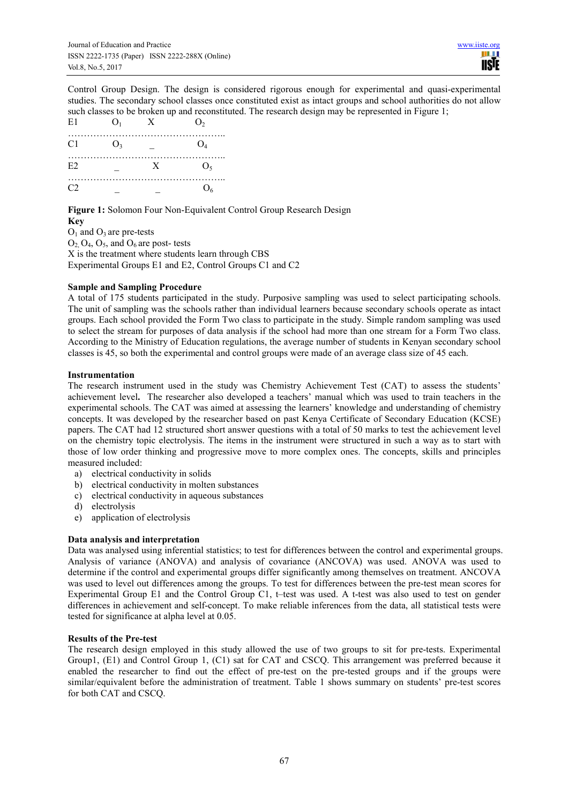Control Group Design. The design is considered rigorous enough for experimental and quasi-experimental studies. The secondary school classes once constituted exist as intact groups and school authorities do not allow such classes to be broken up and reconstituted. The research design may be represented in Figure 1;<br>El  $\Omega$ 

| E1             | O <sub>1</sub> | X | O <sub>2</sub> |
|----------------|----------------|---|----------------|
| C1             | O <sub>3</sub> |   | O <sub>4</sub> |
| E <sub>2</sub> |                | X | $O_5$          |
| C2             |                |   | O <sub>6</sub> |

**Figure 1:** Solomon Four Non-Equivalent Control Group Research Design **Key**

 $O<sub>1</sub>$  and  $O<sub>3</sub>$  are pre-tests  $O_2$ ,  $O_4$ ,  $O_5$ , and  $O_6$  are post- tests X is the treatment where students learn through CBS Experimental Groups E1 and E2, Control Groups C1 and C2

# **Sample and Sampling Procedure**

A total of 175 students participated in the study. Purposive sampling was used to select participating schools. The unit of sampling was the schools rather than individual learners because secondary schools operate as intact groups. Each school provided the Form Two class to participate in the study. Simple random sampling was used to select the stream for purposes of data analysis if the school had more than one stream for a Form Two class. According to the Ministry of Education regulations, the average number of students in Kenyan secondary school classes is 45, so both the experimental and control groups were made of an average class size of 45 each.

## **Instrumentation**

The research instrument used in the study was Chemistry Achievement Test (CAT) to assess the students' achievement level**.** The researcher also developed a teachers' manual which was used to train teachers in the experimental schools. The CAT was aimed at assessing the learners' knowledge and understanding of chemistry concepts. It was developed by the researcher based on past Kenya Certificate of Secondary Education (KCSE) papers. The CAT had 12 structured short answer questions with a total of 50 marks to test the achievement level on the chemistry topic electrolysis. The items in the instrument were structured in such a way as to start with those of low order thinking and progressive move to more complex ones. The concepts, skills and principles measured included:

- a) electrical conductivity in solids
- b) electrical conductivity in molten substances
- c) electrical conductivity in aqueous substances
- d) electrolysis
- e) application of electrolysis

# **Data analysis and interpretation**

Data was analysed using inferential statistics; to test for differences between the control and experimental groups. Analysis of variance (ANOVA) and analysis of covariance (ANCOVA) was used. ANOVA was used to determine if the control and experimental groups differ significantly among themselves on treatment. ANCOVA was used to level out differences among the groups. To test for differences between the pre-test mean scores for Experimental Group E1 and the Control Group C1, t–test was used. A t-test was also used to test on gender differences in achievement and self-concept. To make reliable inferences from the data, all statistical tests were tested for significance at alpha level at 0.05.

#### **Results of the Pre-test**

The research design employed in this study allowed the use of two groups to sit for pre-tests. Experimental Group1, (E1) and Control Group 1, (C1) sat for CAT and CSCQ. This arrangement was preferred because it enabled the researcher to find out the effect of pre-test on the pre-tested groups and if the groups were similar/equivalent before the administration of treatment. Table 1 shows summary on students' pre-test scores for both CAT and CSCQ.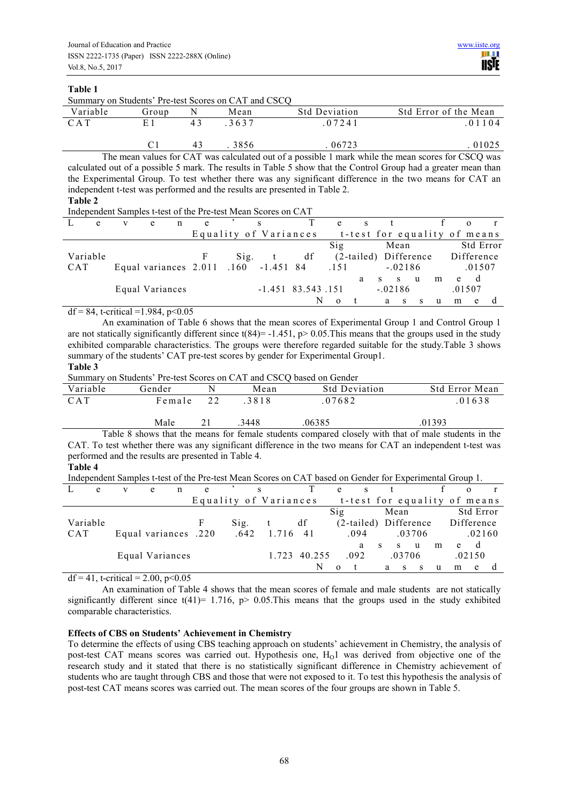## **Table 1**

Summary on Students' Pre-test Scores on CAT and CSCQ

| Variable | Group |    | Mean | <b>Std Deviation</b> | Std Error of the Mean |
|----------|-------|----|------|----------------------|-----------------------|
| C A T    | F.    | 43 | 3637 | 07241                | 01104                 |
|          |       | 43 | 3856 | 06723                | 01025                 |

The mean values for CAT was calculated out of a possible 1 mark while the mean scores for CSCQ was calculated out of a possible 5 mark. The results in Table 5 show that the Control Group had a greater mean than the Experimental Group. To test whether there was any significant difference in the two means for CAT an independent t-test was performed and the results are presented in Table 2.

**Table 2** 

Independent Samples t-test of the Pre-test Mean Scores on CAT

|            | e        | e                                    | e |               | S                     |                     | e                            |                       |           |              |   |   |   |            |           |
|------------|----------|--------------------------------------|---|---------------|-----------------------|---------------------|------------------------------|-----------------------|-----------|--------------|---|---|---|------------|-----------|
|            |          |                                      |   |               | Equality of Variances |                     | t-test for equality of means |                       |           |              |   |   |   |            |           |
|            |          |                                      |   |               |                       |                     | $\overline{\text{Sig}}$      |                       |           | Mean         |   |   |   |            | Std Error |
|            | Variable |                                      | F | $\text{Sig.}$ | $-t$                  | df                  |                              | (2-tailed) Difference |           |              |   |   |   | Difference |           |
| <b>CAT</b> |          | Equal variances 2.011 .160 -1.451 84 |   |               |                       |                     | .151                         |                       |           | $-.02186$    |   |   |   | .01507     |           |
|            |          |                                      |   |               |                       |                     |                              | a                     | S.        | $\mathbf S$  | u | m | e | d          |           |
|            |          | Equal Variances                      |   |               |                       | $-1.451$ 83.543.151 |                              |                       | $-.02186$ |              |   |   |   | .01507     |           |
|            |          |                                      |   |               |                       |                     |                              |                       | a         | <sub>S</sub> | S | u | m | e          |           |

df = 84, t-critical =  $1.984$ , p< $0.05$ 

An examination of Table 6 shows that the mean scores of Experimental Group 1 and Control Group 1 are not statically significantly different since  $t(84) = -1.451$ ,  $p > 0.05$ . This means that the groups used in the study exhibited comparable characteristics. The groups were therefore regarded suitable for the study.Table 3 shows summary of the students' CAT pre-test scores by gender for Experimental Group1.

**Table 3** 

Summary on Students' Pre-test Scores on CAT and CSCQ based on Gender

| Variable   | Gender | Mean | <b>Std Deviation</b> | <b>Std Error Mean</b> |
|------------|--------|------|----------------------|-----------------------|
| <b>CAT</b> | Female | 3818 | .07682               | 01638                 |
|            | Male   | 3448 | .06385               | .01393                |

Table 8 shows that the means for female students compared closely with that of male students in the CAT. To test whether there was any significant difference in the two means for CAT an independent t-test was performed and the results are presented in Table 4.

**Table 4**

|  | Independent Samples t-test of the Pre-test Mean Scores on CAT based on Gender for Experimental Group 1. |  |
|--|---------------------------------------------------------------------------------------------------------|--|
|  |                                                                                                         |  |

| e          | e                    | n | e |               |                       |        | e   |                              |    |         |        |   |            |           |  |
|------------|----------------------|---|---|---------------|-----------------------|--------|-----|------------------------------|----|---------|--------|---|------------|-----------|--|
|            |                      |   |   |               | Equality of Variances |        |     | t-test for equality of means |    |         |        |   |            |           |  |
|            |                      |   |   |               |                       |        | Sig |                              |    | Mean    |        |   |            | Std Error |  |
| Variable   |                      |   | F | $\text{Sig.}$ |                       | df     |     | (2-tailed) Difference        |    |         |        |   | Difference |           |  |
| <b>CAT</b> | Equal variances .220 |   |   | .642          | 1.716                 | 41     |     | .094                         |    |         | .03706 |   |            | .02160    |  |
|            |                      |   |   |               |                       |        |     | a                            | -S | S.      | u      | m | e          | d         |  |
|            | Equal Variances      |   |   |               | 1 723                 | 40.255 |     | .092                         |    | .03706  |        |   |            | .02150    |  |
|            |                      |   |   |               |                       | N      |     |                              |    | a<br>-S | S      | u | m          | e         |  |

 $df = 41$ , t-critical = 2.00, p<0.05

An examination of Table 4 shows that the mean scores of female and male students are not statically significantly different since  $t(41)= 1.716$ , p> 0.05. This means that the groups used in the study exhibited comparable characteristics.

# **Effects of CBS on Students' Achievement in Chemistry**

To determine the effects of using CBS teaching approach on students' achievement in Chemistry, the analysis of post-test CAT means scores was carried out. Hypothesis one,  $H<sub>o</sub>1$  was derived from objective one of the research study and it stated that there is no statistically significant difference in Chemistry achievement of students who are taught through CBS and those that were not exposed to it. To test this hypothesis the analysis of post-test CAT means scores was carried out. The mean scores of the four groups are shown in Table 5.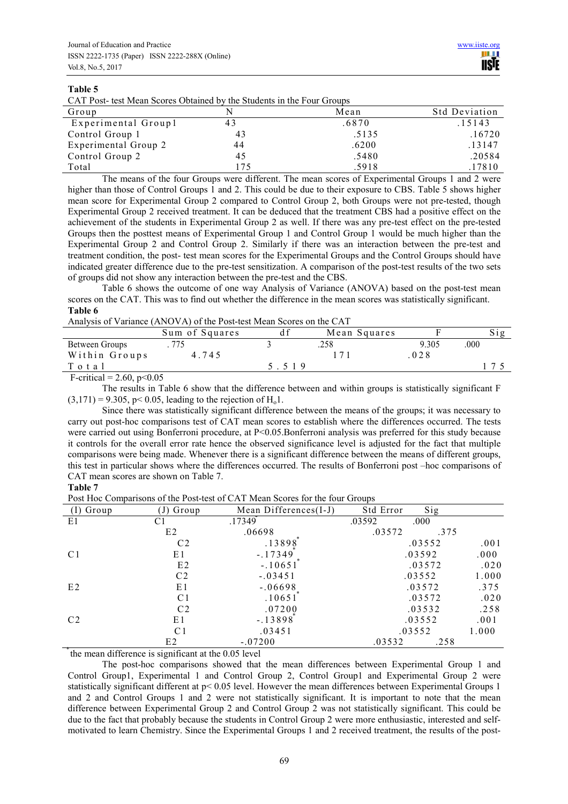## **Table 5**

| CAT Post- test Mean Scores Obtained by the Students in the Four Groups |  |  |  |
|------------------------------------------------------------------------|--|--|--|
|------------------------------------------------------------------------|--|--|--|

| Group                | N   | Mean  | <b>Std Deviation</b> |
|----------------------|-----|-------|----------------------|
| Experimental Group1  | 43  | .6870 | .15143               |
| Control Group 1      | 43  | .5135 | .16720               |
| Experimental Group 2 | 44  | .6200 | .13147               |
| Control Group 2      | 45  | .5480 | .20584               |
| Total                | 175 | .5918 | .17810               |

The means of the four Groups were different. The mean scores of Experimental Groups 1 and 2 were higher than those of Control Groups 1 and 2. This could be due to their exposure to CBS. Table 5 shows higher mean score for Experimental Group 2 compared to Control Group 2, both Groups were not pre-tested, though Experimental Group 2 received treatment. It can be deduced that the treatment CBS had a positive effect on the achievement of the students in Experimental Group 2 as well. If there was any pre-test effect on the pre-tested Groups then the posttest means of Experimental Group 1 and Control Group 1 would be much higher than the Experimental Group 2 and Control Group 2. Similarly if there was an interaction between the pre-test and treatment condition, the post- test mean scores for the Experimental Groups and the Control Groups should have indicated greater difference due to the pre-test sensitization. A comparison of the post-test results of the two sets of groups did not show any interaction between the pre-test and the CBS.

Table 6 shows the outcome of one way Analysis of Variance (ANOVA) based on the post-test mean scores on the CAT. This was to find out whether the difference in the mean scores was statistically significant. **Table 6** 

## Analysis of Variance (ANOVA) of the Post-test Mean Scores on the CAT

|                | Sum of Squares | Mean Squares |       |      |
|----------------|----------------|--------------|-------|------|
| Between Groups |                | 258          | 9.305 | .000 |
| Within Groups  | 4.745          |              | 028   |      |
| Total          |                |              |       |      |
| .              |                |              |       |      |

F-critical =  $2.60, p<0.05$ 

The results in Table 6 show that the difference between and within groups is statistically significant F  $(3,171) = 9.305$ , p< 0.05, leading to the rejection of H<sub>0</sub>1.

Since there was statistically significant difference between the means of the groups; it was necessary to carry out post-hoc comparisons test of CAT mean scores to establish where the differences occurred. The tests were carried out using Bonferroni procedure, at P<0.05. Bonferroni analysis was preferred for this study because it controls for the overall error rate hence the observed significance level is adjusted for the fact that multiple comparisons were being made. Whenever there is a significant difference between the means of different groups, this test in particular shows where the differences occurred. The results of Bonferroni post –hoc comparisons of CAT mean scores are shown on Table 7.

# **Table 7**

Post Hoc Comparisons of the Post-test of CAT Mean Scores for the four Groups

| $(I)$ Group    | Group          | Mean Differences(I-J) | Std Error | Sig    |       |
|----------------|----------------|-----------------------|-----------|--------|-------|
| E1             | C1             | .17349                | .03592    | .000   |       |
|                | E2             | .06698                | .03572    | .375   |       |
|                | C <sub>2</sub> | .13898                |           | .03552 | .001  |
| C <sub>1</sub> | E1             | $-.17349$             |           | .03592 | .000  |
|                | E2             | $-.10651]$            |           | .03572 | .020  |
|                | C <sub>2</sub> | $-.03451$             |           | .03552 | 1.000 |
| E2             | E1             | $-.06698$             |           | .03572 | .375  |
|                | C <sub>1</sub> | .10651                |           | .03572 | .020  |
|                | C <sub>2</sub> | .07200                |           | .03532 | .258  |
| C <sub>2</sub> | E1             | $-.13898$             |           | .03552 | .001  |
|                | C <sub>1</sub> | .03451                | .03552    |        | 1.000 |
|                | E2             | $-.07200$             | .03532    | .258   |       |

⃰ the mean difference is significant at the 0.05 level

The post-hoc comparisons showed that the mean differences between Experimental Group 1 and Control Group1, Experimental 1 and Control Group 2, Control Group1 and Experimental Group 2 were statistically significant different at p< 0.05 level. However the mean differences between Experimental Groups 1 and 2 and Control Groups 1 and 2 were not statistically significant. It is important to note that the mean difference between Experimental Group 2 and Control Group 2 was not statistically significant. This could be due to the fact that probably because the students in Control Group 2 were more enthusiastic, interested and selfmotivated to learn Chemistry. Since the Experimental Groups 1 and 2 received treatment, the results of the post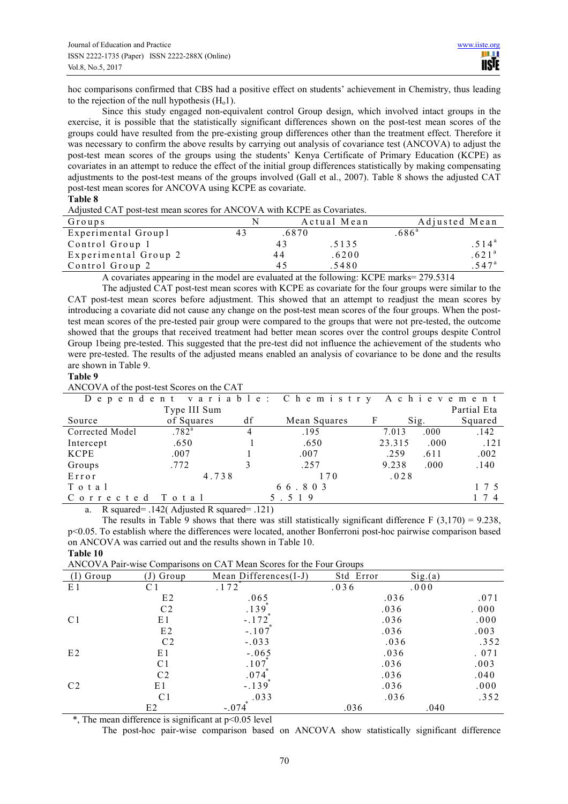hoc comparisons confirmed that CBS had a positive effect on students' achievement in Chemistry, thus leading to the rejection of the null hypothesis  $(H_01)$ .

Since this study engaged non-equivalent control Group design, which involved intact groups in the exercise, it is possible that the statistically significant differences shown on the post-test mean scores of the groups could have resulted from the pre-existing group differences other than the treatment effect. Therefore it was necessary to confirm the above results by carrying out analysis of covariance test (ANCOVA) to adjust the post-test mean scores of the groups using the students' Kenya Certificate of Primary Education (KCPE) as covariates in an attempt to reduce the effect of the initial group differences statistically by making compensating adjustments to the post-test means of the groups involved (Gall et al., 2007). Table 8 shows the adjusted CAT post-test mean scores for ANCOVA using KCPE as covariate.

#### **Table 8**

| Adjusted CAT post-test mean scores for ANCOVA with KCPE as Covariates. |
|------------------------------------------------------------------------|
|------------------------------------------------------------------------|

| Groups               | N  |       | Actual Mean | Adjusted Mean       |
|----------------------|----|-------|-------------|---------------------|
| Experimental Group1  | 43 | .6870 |             | .686 <sup>a</sup>   |
| Control Group 1      |    | 43    | .5135       | 514 <sup>a</sup>    |
| Experimental Group 2 |    | 44    | .6200       | .621 <sup>a</sup>   |
| Control Group 2      |    | 45    | .5480       | $.547$ <sup>a</sup> |

A covariates appearing in the model are evaluated at the following: KCPE marks= 279.5314

The adjusted CAT post-test mean scores with KCPE as covariate for the four groups were similar to the CAT post-test mean scores before adjustment. This showed that an attempt to readjust the mean scores by introducing a covariate did not cause any change on the post-test mean scores of the four groups. When the posttest mean scores of the pre-tested pair group were compared to the groups that were not pre-tested, the outcome showed that the groups that received treatment had better mean scores over the control groups despite Control Group 1being pre-tested. This suggested that the pre-test did not influence the achievement of the students who were pre-tested. The results of the adjusted means enabled an analysis of covariance to be done and the results are shown in Table 9.

#### **Table 9**

ANCOVA of the post-test Scores on the CAT

|                 |              |    | Dependent variable: Chemistry Achievement |        |                 |             |
|-----------------|--------------|----|-------------------------------------------|--------|-----------------|-------------|
|                 | Type III Sum |    |                                           |        |                 | Partial Eta |
| Source          | of Squares   | df | Mean Squares                              | F      | $\mathrm{Sig.}$ | Squared     |
| Corrected Model | $.782^{a}$   | 4  | .195                                      | 7.013  | .000.           | .142        |
| Intercept       | .650         |    | .650                                      | 23.315 | .000            | .121        |
| <b>KCPE</b>     | .007         |    | .007                                      | .259   | .611            | .002        |
| Groups          | .772         |    | .257                                      | 9.238  | .000.           | .140        |
| Error           | 4.738        |    | 170                                       | .028   |                 |             |
| Total           |              |    | 66.803                                    |        |                 | 1 7 5       |
| Corrected       | Total        |    | 5.519                                     |        |                 |             |

a. R squared= .142( Adjusted R squared= .121)

The results in Table 9 shows that there was still statistically significant difference  $F(3.170) = 9.238$ . p<0.05. To establish where the differences were located, another Bonferroni post-hoc pairwise comparison based on ANCOVA was carried out and the results shown in Table 10. **Table 10**

ANCOVA Pair-wise Comparisons on CAT Mean Scores for the Four Groups

| Group          | (J) Group      | Mean Differences(I-J) | Std Error | Sig.(a) |       |
|----------------|----------------|-----------------------|-----------|---------|-------|
|                |                |                       |           |         |       |
| E1             | C 1            | .172                  | .036      | .000    |       |
|                | E2             | .065                  | .036      |         | .071  |
|                | C <sub>2</sub> | .139                  | .036      |         | . 000 |
| C <sub>1</sub> | E1             | $-.172]$              | .036      |         | .000  |
|                | E2             | $-.107$               | .036      |         | .003  |
|                | C <sub>2</sub> | $-.033$               | .036      |         | .352  |
| E2             | E1             | $-.065$               | .036      |         | . 071 |
|                | C <sub>1</sub> | .107                  | .036      |         | .003  |
|                | C <sub>2</sub> | .074                  | .036      |         | .040  |
| C <sub>2</sub> | E1             | $-.139$               | .036      |         | .000  |
|                | C <sub>1</sub> | .033                  | .036      |         | .352  |
|                | E2             | $-.074$               | .036      | .040    |       |

 $*$ . The mean difference is significant at  $p \le 0.05$  level

The post-hoc pair-wise comparison based on ANCOVA show statistically significant difference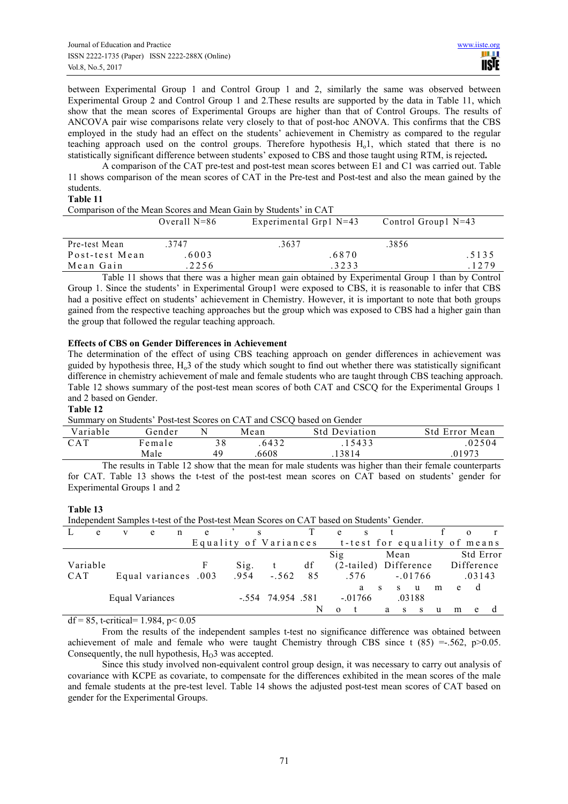between Experimental Group 1 and Control Group 1 and 2, similarly the same was observed between Experimental Group 2 and Control Group 1 and 2.These results are supported by the data in Table 11, which show that the mean scores of Experimental Groups are higher than that of Control Groups. The results of ANCOVA pair wise comparisons relate very closely to that of post-hoc ANOVA. This confirms that the CBS employed in the study had an effect on the students' achievement in Chemistry as compared to the regular teaching approach used on the control groups. Therefore hypothesis  $H<sub>o</sub>1$ , which stated that there is no statistically significant difference between students' exposed to CBS and those taught using RTM, is rejected**.** 

A comparison of the CAT pre-test and post-test mean scores between E1 and C1 was carried out. Table 11 shows comparison of the mean scores of CAT in the Pre-test and Post-test and also the mean gained by the students.

## **Table 11**

Comparison of the Mean Scores and Mean Gain by Students' in CAT

|                | Overall $N=86$ | Experimental Grp1 $N=43$ | Control Group $N=43$ |  |  |
|----------------|----------------|--------------------------|----------------------|--|--|
| Pre-test Mean  | 3747           | .3637                    | .3856                |  |  |
| Post-test Mean | 6003           | .6870                    | .5135                |  |  |
| Mean Gain      | 2256           | .3233                    | 1279                 |  |  |

Table 11 shows that there was a higher mean gain obtained by Experimental Group 1 than by Control Group 1. Since the students' in Experimental Group1 were exposed to CBS, it is reasonable to infer that CBS had a positive effect on students' achievement in Chemistry. However, it is important to note that both groups gained from the respective teaching approaches but the group which was exposed to CBS had a higher gain than the group that followed the regular teaching approach.

# **Effects of CBS on Gender Differences in Achievement**

The determination of the effect of using CBS teaching approach on gender differences in achievement was guided by hypothesis three,  $H<sub>o</sub>3$  of the study which sought to find out whether there was statistically significant difference in chemistry achievement of male and female students who are taught through CBS teaching approach. Table 12 shows summary of the post-test mean scores of both CAT and CSCQ for the Experimental Groups 1 and 2 based on Gender.

# **Table 12**

Summary on Students' Post-test Scores on CAT and CSCQ based on Gender

| Variable   | Gender      |    | Mean   | <b>Std Deviation</b> | <b>Std Error Mean</b> |
|------------|-------------|----|--------|----------------------|-----------------------|
| <b>CAT</b> | Female      | 38 | 6432   | .15433               | 02504                 |
|            | Male        | 49 | .6608  | .13814               | .01973                |
| $-$        | _ _ _ _ _ _ |    | $\sim$ | .                    | $\sim$ $\sim$         |

The results in Table 12 show that the mean for male students was higher than their female counterparts for CAT. Table 13 shows the t-test of the post-test mean scores on CAT based on students' gender for Experimental Groups 1 and 2

# **Table 13**

Independent Samples t-test of the Post-test Mean Scores on CAT based on Students' Gender.

| e          |                      | e | e | S                     |                     |    | e<br>S                  |                              |           |   |            |  |
|------------|----------------------|---|---|-----------------------|---------------------|----|-------------------------|------------------------------|-----------|---|------------|--|
|            |                      |   |   | Equality of Variances |                     |    |                         | t-test for equality of means |           |   |            |  |
|            |                      |   |   |                       |                     |    | $\overline{\text{Sig}}$ | Mean                         |           |   | Std Error  |  |
| Variable   |                      |   |   | Sig.                  | $-t$                | df |                         | (2-tailed) Difference        |           |   | Difference |  |
| <b>CAT</b> | Equal variances .003 |   |   | .954                  | $-.562$             | 85 | .576                    |                              | $-.01766$ |   | .03143     |  |
|            |                      |   |   |                       |                     |    | a                       | -S<br>S.                     | m<br>u    | e | d          |  |
|            | Equal Variances      |   |   |                       | $-.554$ 74.954 .581 |    | $-.01766$               |                              | .03188    |   |            |  |
|            |                      |   |   |                       |                     | N  | $\Omega$                | a<br>S.                      | -S<br>u   | m | e          |  |

df = 85, t-critical=  $1.984$ , p<  $0.05$ 

From the results of the independent samples t-test no significance difference was obtained between achievement of male and female who were taught Chemistry through CBS since t  $(85) = -0.562$ , p $> 0.05$ . Consequently, the null hypothesis,  $H_0$ 3 was accepted.

Since this study involved non-equivalent control group design, it was necessary to carry out analysis of covariance with KCPE as covariate, to compensate for the differences exhibited in the mean scores of the male and female students at the pre-test level. Table 14 shows the adjusted post-test mean scores of CAT based on gender for the Experimental Groups.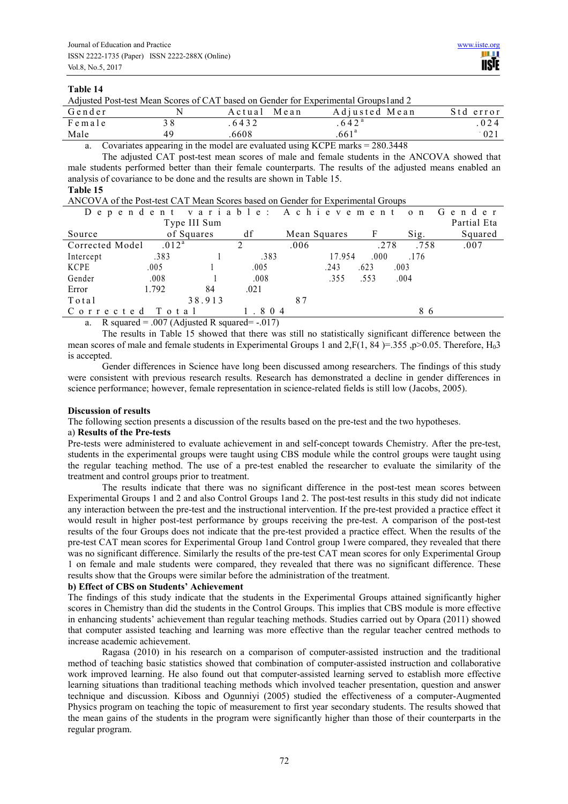## **Table 14**

Adjusted Post-test Mean Scores of CAT based on Gender for Experimental Groups1and 2

| Gender                   |    | Mean<br>Actual | Adjusted Mean     | Std error |
|--------------------------|----|----------------|-------------------|-----------|
| Female                   |    | 6432           | 642 <sup>a</sup>  | 024       |
| Male                     | 49 | 6608           | .661 <sup>a</sup> | 021       |
| the property of the con- |    |                | .                 |           |

a. Covariates appearing in the model are evaluated using KCPE marks = 280.3448

The adjusted CAT post-test mean scores of male and female students in the ANCOVA showed that male students performed better than their female counterparts. The results of the adjusted means enabled an analysis of covariance to be done and the results are shown in Table 15.

## **Table 15**

ANCOVA of the Post-test CAT Mean Scores based on Gender for Experimental Groups

|                   |    |                                      |      |      |                        |      | Partial Eta                                                       |
|-------------------|----|--------------------------------------|------|------|------------------------|------|-------------------------------------------------------------------|
|                   |    | df                                   |      |      |                        | Sig. | Squared                                                           |
| .012 <sup>a</sup> |    |                                      | .006 |      |                        | .758 | .007                                                              |
| .383              |    | .383                                 |      |      | .000                   | .176 |                                                                   |
| .005              |    | .005                                 |      | .243 | .623                   |      |                                                                   |
| .008              |    | .008                                 |      | .355 | .553                   |      |                                                                   |
| 1.792             | 84 | .021                                 |      |      |                        |      |                                                                   |
|                   |    |                                      | 87   |      |                        |      |                                                                   |
| Total             |    |                                      |      |      |                        | 86   |                                                                   |
|                   |    | Type III Sum<br>of Squares<br>38.913 |      | 804  | Mean Squares<br>17.954 |      | Dependent variable: Achievement on Gender<br>.278<br>.003<br>.004 |

a. R squared =  $.007$  (Adjusted R squared =  $.017$ )

The results in Table 15 showed that there was still no statistically significant difference between the mean scores of male and female students in Experimental Groups 1 and 2, F(1, 84 )=.355, p>0.05. Therefore, H<sub>0</sub>3 is accepted.

Gender differences in Science have long been discussed among researchers. The findings of this study were consistent with previous research results. Research has demonstrated a decline in gender differences in science performance; however, female representation in science-related fields is still low (Jacobs, 2005).

# **Discussion of results**

The following section presents a discussion of the results based on the pre-test and the two hypotheses.

#### a) **Results of the Pre-tests**

Pre-tests were administered to evaluate achievement in and self-concept towards Chemistry. After the pre-test, students in the experimental groups were taught using CBS module while the control groups were taught using the regular teaching method. The use of a pre-test enabled the researcher to evaluate the similarity of the treatment and control groups prior to treatment.

The results indicate that there was no significant difference in the post-test mean scores between Experimental Groups 1 and 2 and also Control Groups 1and 2. The post-test results in this study did not indicate any interaction between the pre-test and the instructional intervention. If the pre-test provided a practice effect it would result in higher post-test performance by groups receiving the pre-test. A comparison of the post-test results of the four Groups does not indicate that the pre-test provided a practice effect. When the results of the pre-test CAT mean scores for Experimental Group 1and Control group 1were compared, they revealed that there was no significant difference. Similarly the results of the pre-test CAT mean scores for only Experimental Group 1 on female and male students were compared, they revealed that there was no significant difference. These results show that the Groups were similar before the administration of the treatment.

# **b) Effect of CBS on Students' Achievement**

The findings of this study indicate that the students in the Experimental Groups attained significantly higher scores in Chemistry than did the students in the Control Groups. This implies that CBS module is more effective in enhancing students' achievement than regular teaching methods. Studies carried out by Opara (2011) showed that computer assisted teaching and learning was more effective than the regular teacher centred methods to increase academic achievement.

Ragasa (2010) in his research on a comparison of computer-assisted instruction and the traditional method of teaching basic statistics showed that combination of computer-assisted instruction and collaborative work improved learning. He also found out that computer-assisted learning served to establish more effective learning situations than traditional teaching methods which involved teacher presentation, question and answer technique and discussion. Kiboss and Ogunniyi (2005) studied the effectiveness of a computer-Augmented Physics program on teaching the topic of measurement to first year secondary students. The results showed that the mean gains of the students in the program were significantly higher than those of their counterparts in the regular program.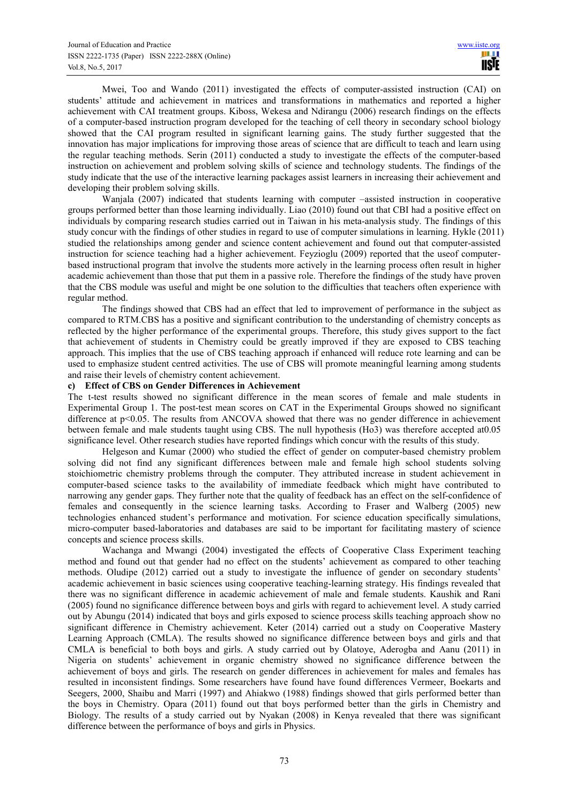Mwei, Too and Wando (2011) investigated the effects of computer-assisted instruction (CAI) on students' attitude and achievement in matrices and transformations in mathematics and reported a higher achievement with CAI treatment groups. Kiboss, Wekesa and Ndirangu (2006) research findings on the effects of a computer-based instruction program developed for the teaching of cell theory in secondary school biology showed that the CAI program resulted in significant learning gains. The study further suggested that the innovation has major implications for improving those areas of science that are difficult to teach and learn using the regular teaching methods. Serin (2011) conducted a study to investigate the effects of the computer-based instruction on achievement and problem solving skills of science and technology students. The findings of the study indicate that the use of the interactive learning packages assist learners in increasing their achievement and developing their problem solving skills.

Wanjala (2007) indicated that students learning with computer –assisted instruction in cooperative groups performed better than those learning individually. Liao (2010) found out that CBI had a positive effect on individuals by comparing research studies carried out in Taiwan in his meta-analysis study. The findings of this study concur with the findings of other studies in regard to use of computer simulations in learning. Hykle (2011) studied the relationships among gender and science content achievement and found out that computer-assisted instruction for science teaching had a higher achievement. Feyzioglu (2009) reported that the useof computerbased instructional program that involve the students more actively in the learning process often result in higher academic achievement than those that put them in a passive role. Therefore the findings of the study have proven that the CBS module was useful and might be one solution to the difficulties that teachers often experience with regular method.

The findings showed that CBS had an effect that led to improvement of performance in the subject as compared to RTM.CBS has a positive and significant contribution to the understanding of chemistry concepts as reflected by the higher performance of the experimental groups. Therefore, this study gives support to the fact that achievement of students in Chemistry could be greatly improved if they are exposed to CBS teaching approach. This implies that the use of CBS teaching approach if enhanced will reduce rote learning and can be used to emphasize student centred activities. The use of CBS will promote meaningful learning among students and raise their levels of chemistry content achievement.

## **c) Effect of CBS on Gender Differences in Achievement**

The t-test results showed no significant difference in the mean scores of female and male students in Experimental Group 1. The post-test mean scores on CAT in the Experimental Groups showed no significant difference at p<0.05. The results from ANCOVA showed that there was no gender difference in achievement between female and male students taught using CBS. The null hypothesis (Ho3) was therefore accepted at0.05 significance level. Other research studies have reported findings which concur with the results of this study.

Helgeson and Kumar (2000) who studied the effect of gender on computer-based chemistry problem solving did not find any significant differences between male and female high school students solving stoichiometric chemistry problems through the computer. They attributed increase in student achievement in computer-based science tasks to the availability of immediate feedback which might have contributed to narrowing any gender gaps. They further note that the quality of feedback has an effect on the self-confidence of females and consequently in the science learning tasks. According to Fraser and Walberg (2005) new technologies enhanced student's performance and motivation. For science education specifically simulations, micro-computer based-laboratories and databases are said to be important for facilitating mastery of science concepts and science process skills.

Wachanga and Mwangi (2004) investigated the effects of Cooperative Class Experiment teaching method and found out that gender had no effect on the students' achievement as compared to other teaching methods. Oludipe (2012) carried out a study to investigate the influence of gender on secondary students' academic achievement in basic sciences using cooperative teaching-learning strategy. His findings revealed that there was no significant difference in academic achievement of male and female students. Kaushik and Rani (2005) found no significance difference between boys and girls with regard to achievement level. A study carried out by Abungu (2014) indicated that boys and girls exposed to science process skills teaching approach show no significant difference in Chemistry achievement. Keter (2014) carried out a study on Cooperative Mastery Learning Approach (CMLA). The results showed no significance difference between boys and girls and that CMLA is beneficial to both boys and girls. A study carried out by Olatoye, Aderogba and Aanu (2011) in Nigeria on students' achievement in organic chemistry showed no significance difference between the achievement of boys and girls. The research on gender differences in achievement for males and females has resulted in inconsistent findings. Some researchers have found have found differences Vermeer, Boekarts and Seegers, 2000, Shaibu and Marri (1997) and Ahiakwo (1988) findings showed that girls performed better than the boys in Chemistry. Opara (2011) found out that boys performed better than the girls in Chemistry and Biology. The results of a study carried out by Nyakan (2008) in Kenya revealed that there was significant difference between the performance of boys and girls in Physics.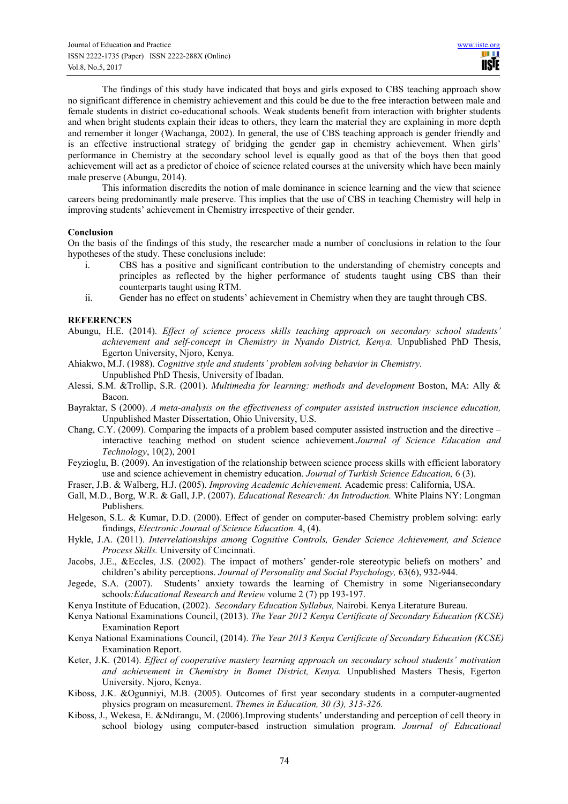The findings of this study have indicated that boys and girls exposed to CBS teaching approach show no significant difference in chemistry achievement and this could be due to the free interaction between male and female students in district co-educational schools. Weak students benefit from interaction with brighter students and when bright students explain their ideas to others, they learn the material they are explaining in more depth and remember it longer (Wachanga, 2002). In general, the use of CBS teaching approach is gender friendly and is an effective instructional strategy of bridging the gender gap in chemistry achievement. When girls' performance in Chemistry at the secondary school level is equally good as that of the boys then that good achievement will act as a predictor of choice of science related courses at the university which have been mainly male preserve (Abungu, 2014).

This information discredits the notion of male dominance in science learning and the view that science careers being predominantly male preserve. This implies that the use of CBS in teaching Chemistry will help in improving students' achievement in Chemistry irrespective of their gender.

## **Conclusion**

On the basis of the findings of this study, the researcher made a number of conclusions in relation to the four hypotheses of the study. These conclusions include:

- i. CBS has a positive and significant contribution to the understanding of chemistry concepts and principles as reflected by the higher performance of students taught using CBS than their counterparts taught using RTM.
- ii. Gender has no effect on students' achievement in Chemistry when they are taught through CBS.

# **REFERENCES**

- Abungu, H.E. (2014). *Effect of science process skills teaching approach on secondary school students' achievement and self-concept in Chemistry in Nyando District, Kenya.* Unpublished PhD Thesis, Egerton University, Njoro, Kenya.
- Ahiakwo, M.J. (1988). *Cognitive style and students' problem solving behavior in Chemistry.*  Unpublished PhD Thesis, University of Ibadan.
- Alessi, S.M. &Trollip, S.R. (2001). *Multimedia for learning: methods and development* Boston, MA: Ally & Bacon.
- Bayraktar, S (2000). *A meta-analysis on the effectiveness of computer assisted instruction inscience education,* Unpublished Master Dissertation, Ohio University, U.S.
- Chang, C.Y. (2009). Comparing the impacts of a problem based computer assisted instruction and the directive interactive teaching method on student science achievement.*Journal of Science Education and Technology*, 10(2), 2001
- Feyzioglu, B. (2009). An investigation of the relationship between science process skills with efficient laboratory use and science achievement in chemistry education. *Journal of Turkish Science Education,* 6 (3).
- Fraser, J.B. & Walberg, H.J. (2005). *Improving Academic Achievement.* Academic press: California, USA.
- Gall, M.D., Borg, W.R. & Gall, J.P. (2007). *Educational Research: An Introduction.* White Plains NY: Longman Publishers.
- Helgeson, S.L. & Kumar, D.D. (2000). Effect of gender on computer-based Chemistry problem solving: early findings, *Electronic Journal of Science Education.* 4, (4).
- Hykle, J.A. (2011). *Interrelationships among Cognitive Controls, Gender Science Achievement, and Science Process Skills.* University of Cincinnati.
- Jacobs, J.E., &Eccles, J.S. (2002). The impact of mothers' gender-role stereotypic beliefs on mothers' and children's ability perceptions. *Journal of Personality and Social Psychology,* 63(6), 932-944.
- Jegede, S.A. (2007). Students' anxiety towards the learning of Chemistry in some Nigeriansecondary school*s:Educational Research and Review* volume 2 (7) pp 193-197.
- Kenya Institute of Education, (2002). *Secondary Education Syllabus,* Nairobi. Kenya Literature Bureau.
- Kenya National Examinations Council, (2013). *The Year 2012 Kenya Certificate of Secondary Education (KCSE)*  Examination Report
- Kenya National Examinations Council, (2014). *The Year 2013 Kenya Certificate of Secondary Education (KCSE)*  Examination Report.
- Keter, J.K. (2014). *Effect of cooperative mastery learning approach on secondary school students' motivation and achievement in Chemistry in Bomet District, Kenya.* Unpublished Masters Thesis, Egerton University. Njoro, Kenya.
- Kiboss, J.K. &Ogunniyi, M.B. (2005). Outcomes of first year secondary students in a computer-augmented physics program on measurement. *Themes in Education, 30 (3), 313-326.*
- Kiboss, J., Wekesa, E. &Ndirangu, M. (2006).Improving students' understanding and perception of cell theory in school biology using computer-based instruction simulation program. *Journal of Educational*